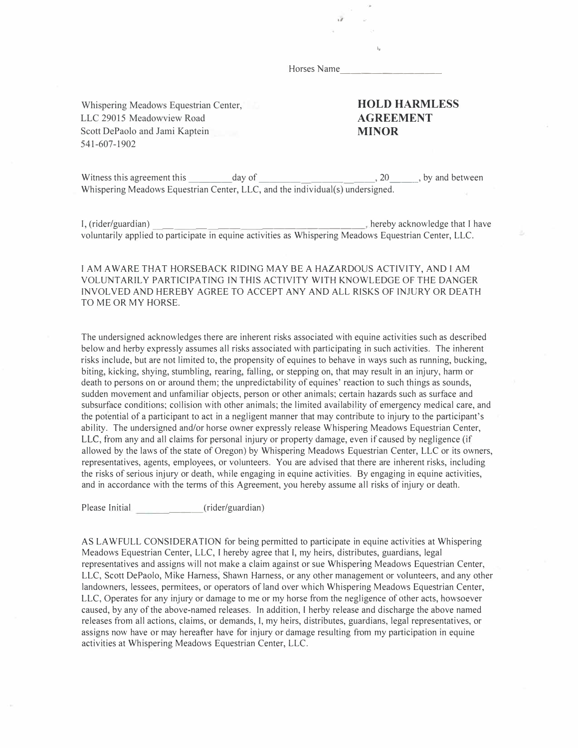Horses Name

,,

**1,** 

Whispering Meadows Equestrian Center, LLC 29015 Meadowview Road Scott DePaolo and Jami Kaptein 541-607-1902

### **HOLD HARMLESS AGREEMENT MINOR**

Witness this agreement this  $\_\_\_\_\_\_\_\$  day of  $\_\_\_\_\_\_\_\_\_\_\_\_$ , 20  $\_\_\_\_\_\_\_\_\_\_\_$  by and between Whispering Meadows Equestrian Center, LLC, and the individual(s) undersigned.

I, (rider/guardian) \_\_\_ \_\_\_\_\_ \_\_\_\_\_\_\_\_\_\_ � hereby acknowledge that I have voluntarily applied to participate in equine activities as Whispering Meadows Equestrian Center, LLC.

#### I AM A WARE THAT HORSEBACK RIDING MAY BE A HAZARDOUS ACTIVITY, AND I AM VOLUNTARJLY PARTlClPATING IN THIS ACTIVITY WTTH KNOWLEDGE OF THE DANGER INVOLVED AND HEREBY AGREE TO ACCEPT ANY AND ALL RISKS OF INJURY OR DEATH TO ME OR MY HORSE.

The undersigned acknowledges there are inherent risks associated with equine activities such as described below and herby expressly assumes all risks associated with participating in such activities. The inherent risks include, but are not limited to, the propensity of equines to behave in ways such as running, bucking, biting, kicking, shying, stumbling, rearing, falling, or stepping on, that may result in an injury, harm or death to persons on or around them; the unpredictability of equines' reaction to such things as sounds, sudden movement and unfamiliar objects, person or other animals; certain hazards such as surface and subsurface conditions; collision with other animals; the limited availability of emergency medical care, and the potential of a participant to act in a negligent manner that may contribute to injury to the participant's ability. The undersigned and/or horse owner expressly release Whispering Meadows Equestrian Center, LLC, from any and all claims for personal injury or property damage, even if caused by negligence (if allowed by the laws of the state of Oregon) by Whispering Meadows Equestrian Center, LLC or its owners, representatives, agents, employees, or volunteers. You are advised that there are inherent risks, including the risks of serious injury or death, while engaging in equine activities. By engaging in equine activities, and in accordance with the terms of this Agreement, you hereby assume all risks of injury or death.

Please Initial (rider/guardian)

AS LA WFULL CONSTDERA TlON for being permitted to participate in equine activities at Whispering Meadows Equestrian Center, LLC, l hereby agree that I, my heirs, distributes, guardians, legal representatives and assigns will not make a claim against or sue Whispering Meadows Equestrian Center, LLC, Scott DePaolo, Mike Harness, Shawn Harness, or any other management or volunteers, and any other landowners, lessees, permitees, or operators of land over which Whispering Meadows Equestrian Center, LLC, Operates for any injury or damage to me or my horse from the negligence of other acts, howsoever caused, by any of the above-named releases. In addition, l herby release and discharge the above named releases from all actions, claims, or demands, I, my heirs, distributes, guardians, legal representatives, or assigns now have or may hereafter have for injury or damage resulting from my participation in equine activities at Whispering Meadows Equestrian Center, LLC.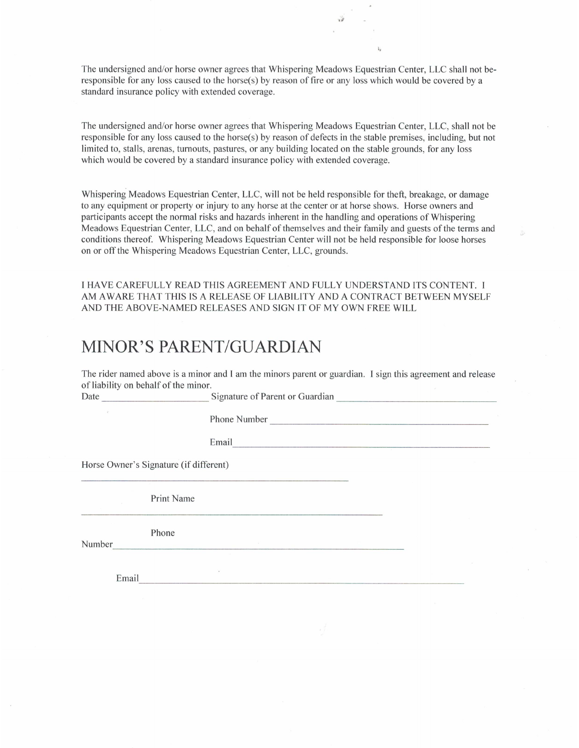The undersigned and/or horse owner agrees that Whispering Meadows Equestrian Center, LLC shall not beresponsible for any loss caused to the horse(s) by reason of fire or any loss which would be covered by a standard insurance policy with extended coverage.

The undersigned and/or horse owner agrees that Whispering Meadows Equestrian Center, LLC, shall not be responsible for any loss caused to the horse(s) by reason of defects in the stable premises, including, but not limited to, stalls, arenas, turnouts, pastures, or any building located on the stable grounds, for any loss which would be covered by a standard insurance policy with extended coverage.

Whispering Meadows Equestrian Center, LLC, will not be held responsible for theft, breakage, or damage to any equipment or property or injury to any horse at the center or at horse shows. Horse owners and participants accept the normal risks and hazards inherent in the handling and operations of Whispering Meadows Equestrian Center, LLC, and on behalf of themselves and their family and guests of the terms and conditions thereof. Whispering Meadows Equestrian Center will not be held responsible for loose horses on or off the Whispering Meadows Equestrian Center, LLC, grounds.

I HAVE CAREFULLY READ THIS AGREEMENT AND FULLY UNDERSTAND ITS CONTENT. I AM AWARE THAT THIS IS A RELEASE OF LIABILITY AND A CONTRACT BETWEEN MYSELF AND THE ABOVE-NAMED RELEASES AND SIGN IT OF MY OWN FREE WILL

# MINOR'S PARENT/GUARDIAN

 $\sim$ 

The rider named above is a minor and I am the minors parent or guardian. I sign this agreement and release of liability on behalf of the minor.

Signature of Parent or Guardian Date  $\mathcal{V}$ Email Horse Owner's Signature (if different) **Print Name** Phone Number

Email

ī.